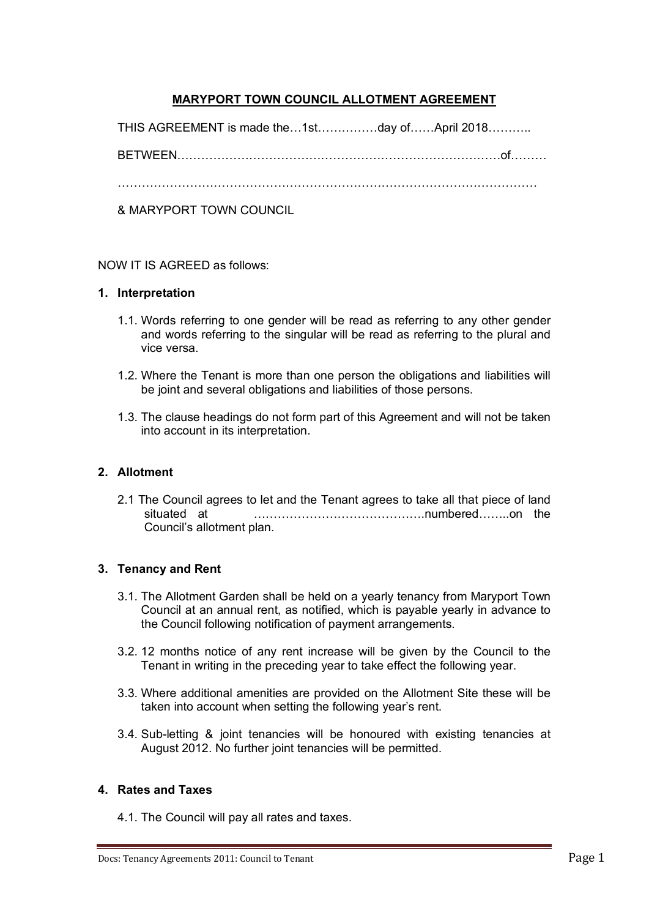# **MARYPORT TOWN COUNCIL ALLOTMENT AGREEMENT**

THIS AGREEMENT is made the…1st……………day of……April 2018………..

BETWEEN………………………………………………………………………of………

……………………………………………………………………………………………

& MARYPORT TOWN COUNCIL

NOW IT IS AGREED as follows:

#### **1. Interpretation**

- 1.1. Words referring to one gender will be read as referring to any other gender and words referring to the singular will be read as referring to the plural and vice versa.
- 1.2. Where the Tenant is more than one person the obligations and liabilities will be joint and several obligations and liabilities of those persons.
- 1.3. The clause headings do not form part of this Agreement and will not be taken into account in its interpretation.

### **2. Allotment**

2.1 The Council agrees to let and the Tenant agrees to take all that piece of land situated at …………………………………….numbered……..on the Council's allotment plan.

### **3. Tenancy and Rent**

- 3.1. The Allotment Garden shall be held on a yearly tenancy from Maryport Town Council at an annual rent, as notified, which is payable yearly in advance to the Council following notification of payment arrangements.
- 3.2. 12 months notice of any rent increase will be given by the Council to the Tenant in writing in the preceding year to take effect the following year.
- 3.3. Where additional amenities are provided on the Allotment Site these will be taken into account when setting the following year's rent.
- 3.4. Sub-letting & joint tenancies will be honoured with existing tenancies at August 2012. No further joint tenancies will be permitted.

### **4. Rates and Taxes**

4.1. The Council will pay all rates and taxes.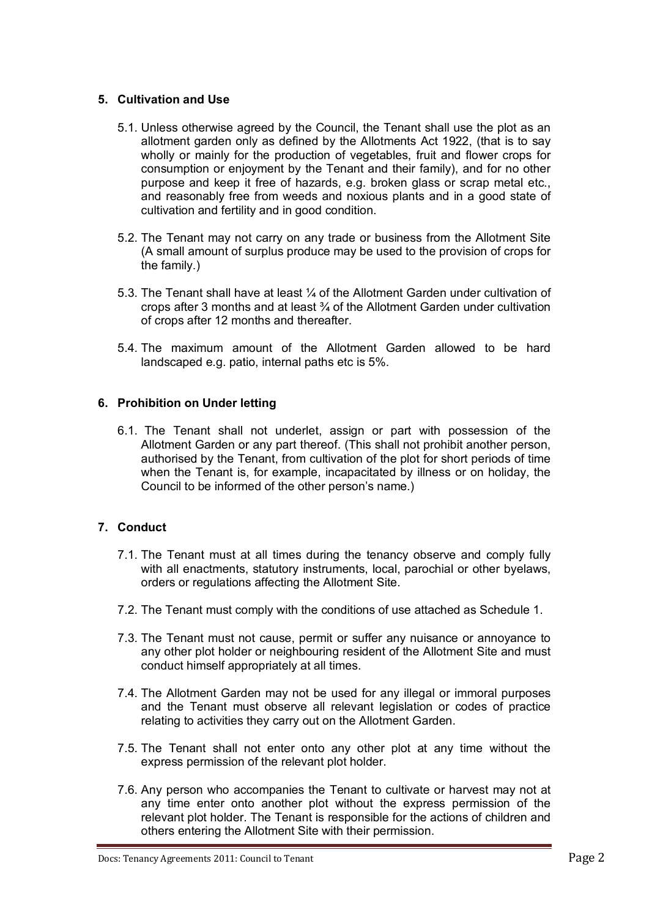### **5. Cultivation and Use**

- 5.1. Unless otherwise agreed by the Council, the Tenant shall use the plot as an allotment garden only as defined by the Allotments Act 1922, (that is to say wholly or mainly for the production of vegetables, fruit and flower crops for consumption or enjoyment by the Tenant and their family), and for no other purpose and keep it free of hazards, e.g. broken glass or scrap metal etc., and reasonably free from weeds and noxious plants and in a good state of cultivation and fertility and in good condition.
- 5.2. The Tenant may not carry on any trade or business from the Allotment Site (A small amount of surplus produce may be used to the provision of crops for the family.)
- 5.3. The Tenant shall have at least ¼ of the Allotment Garden under cultivation of crops after 3 months and at least ¾ of the Allotment Garden under cultivation of crops after 12 months and thereafter.
- 5.4. The maximum amount of the Allotment Garden allowed to be hard landscaped e.g. patio, internal paths etc is 5%.

### **6. Prohibition on Under letting**

6.1. The Tenant shall not underlet, assign or part with possession of the Allotment Garden or any part thereof. (This shall not prohibit another person, authorised by the Tenant, from cultivation of the plot for short periods of time when the Tenant is, for example, incapacitated by illness or on holiday, the Council to be informed of the other person's name.)

### **7. Conduct**

- 7.1. The Tenant must at all times during the tenancy observe and comply fully with all enactments, statutory instruments, local, parochial or other byelaws, orders or regulations affecting the Allotment Site.
- 7.2. The Tenant must comply with the conditions of use attached as Schedule 1.
- 7.3. The Tenant must not cause, permit or suffer any nuisance or annoyance to any other plot holder or neighbouring resident of the Allotment Site and must conduct himself appropriately at all times.
- 7.4. The Allotment Garden may not be used for any illegal or immoral purposes and the Tenant must observe all relevant legislation or codes of practice relating to activities they carry out on the Allotment Garden.
- 7.5. The Tenant shall not enter onto any other plot at any time without the express permission of the relevant plot holder.
- 7.6. Any person who accompanies the Tenant to cultivate or harvest may not at any time enter onto another plot without the express permission of the relevant plot holder. The Tenant is responsible for the actions of children and others entering the Allotment Site with their permission.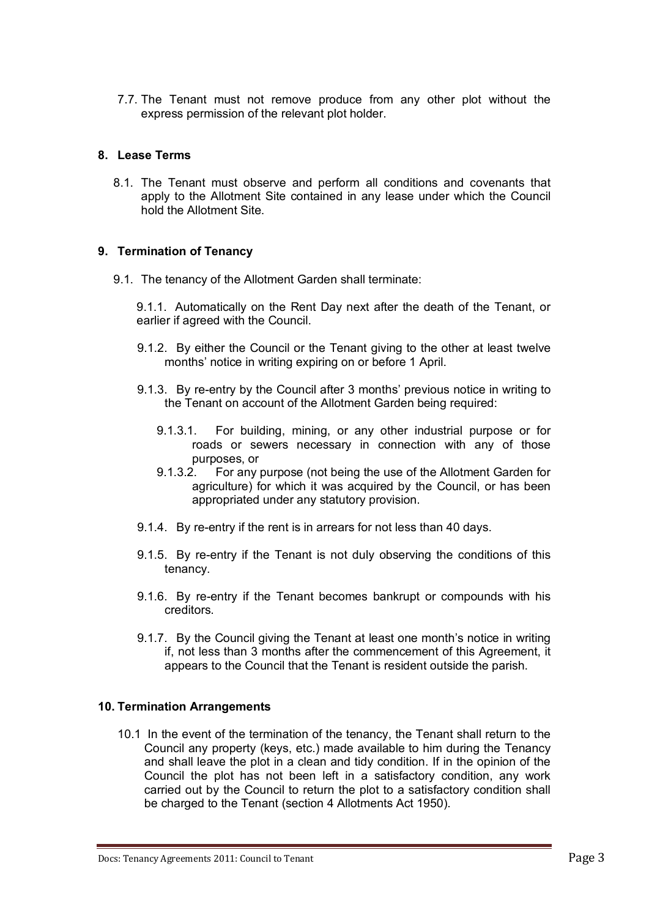7.7. The Tenant must not remove produce from any other plot without the express permission of the relevant plot holder.

### **8. Lease Terms**

8.1. The Tenant must observe and perform all conditions and covenants that apply to the Allotment Site contained in any lease under which the Council hold the Allotment Site.

### **9. Termination of Tenancy**

9.1. The tenancy of the Allotment Garden shall terminate:

9.1.1. Automatically on the Rent Day next after the death of the Tenant, or earlier if agreed with the Council.

- 9.1.2. By either the Council or the Tenant giving to the other at least twelve months' notice in writing expiring on or before 1 April.
- 9.1.3. By re-entry by the Council after 3 months' previous notice in writing to the Tenant on account of the Allotment Garden being required:
	- 9.1.3.1. For building, mining, or any other industrial purpose or for roads or sewers necessary in connection with any of those purposes, or
	- 9.1.3.2. For any purpose (not being the use of the Allotment Garden for agriculture) for which it was acquired by the Council, or has been appropriated under any statutory provision.
- 9.1.4. By re-entry if the rent is in arrears for not less than 40 days.
- 9.1.5. By re-entry if the Tenant is not duly observing the conditions of this tenancy.
- 9.1.6. By re-entry if the Tenant becomes bankrupt or compounds with his creditors.
- 9.1.7. By the Council giving the Tenant at least one month's notice in writing if, not less than 3 months after the commencement of this Agreement, it appears to the Council that the Tenant is resident outside the parish.

### **10. Termination Arrangements**

10.1 In the event of the termination of the tenancy, the Tenant shall return to the Council any property (keys, etc.) made available to him during the Tenancy and shall leave the plot in a clean and tidy condition. If in the opinion of the Council the plot has not been left in a satisfactory condition, any work carried out by the Council to return the plot to a satisfactory condition shall be charged to the Tenant (section 4 Allotments Act 1950).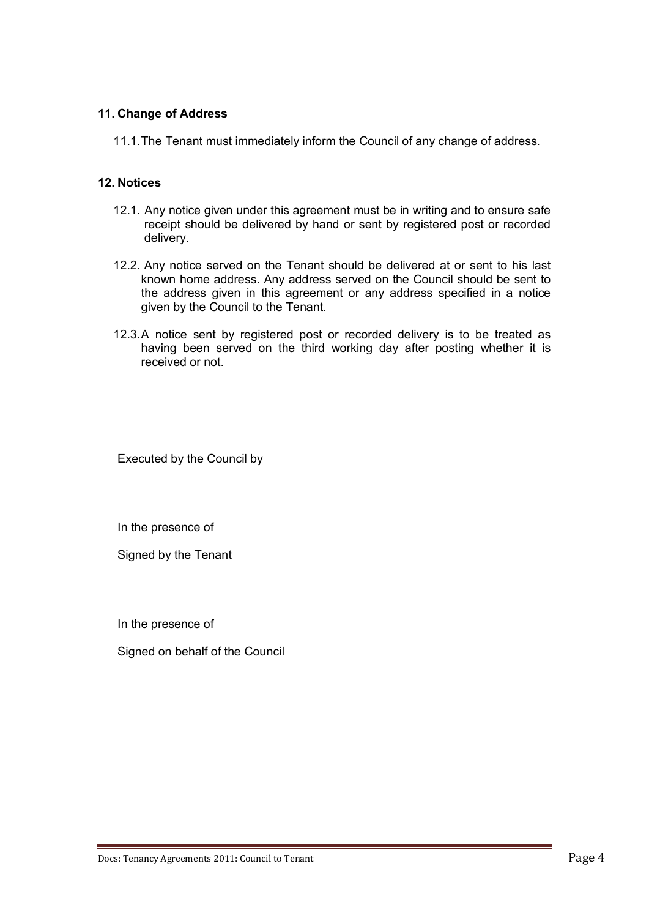### **11. Change of Address**

11.1.The Tenant must immediately inform the Council of any change of address.

### **12. Notices**

- 12.1. Any notice given under this agreement must be in writing and to ensure safe receipt should be delivered by hand or sent by registered post or recorded delivery.
- 12.2. Any notice served on the Tenant should be delivered at or sent to his last known home address. Any address served on the Council should be sent to the address given in this agreement or any address specified in a notice given by the Council to the Tenant.
- 12.3.A notice sent by registered post or recorded delivery is to be treated as having been served on the third working day after posting whether it is received or not.

Executed by the Council by

In the presence of

Signed by the Tenant

In the presence of

Signed on behalf of the Council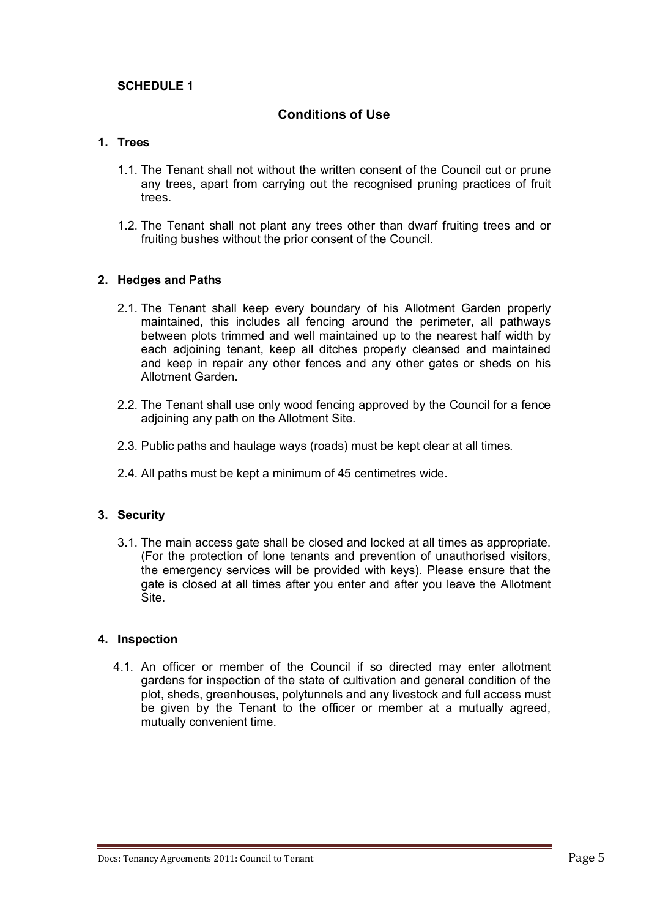## **SCHEDULE 1**

## **Conditions of Use**

### **1. Trees**

- 1.1. The Tenant shall not without the written consent of the Council cut or prune any trees, apart from carrying out the recognised pruning practices of fruit trees.
- 1.2. The Tenant shall not plant any trees other than dwarf fruiting trees and or fruiting bushes without the prior consent of the Council.

#### **2. Hedges and Paths**

- 2.1. The Tenant shall keep every boundary of his Allotment Garden properly maintained, this includes all fencing around the perimeter, all pathways between plots trimmed and well maintained up to the nearest half width by each adjoining tenant, keep all ditches properly cleansed and maintained and keep in repair any other fences and any other gates or sheds on his Allotment Garden.
- 2.2. The Tenant shall use only wood fencing approved by the Council for a fence adjoining any path on the Allotment Site.
- 2.3. Public paths and haulage ways (roads) must be kept clear at all times.
- 2.4. All paths must be kept a minimum of 45 centimetres wide.

### **3. Security**

3.1. The main access gate shall be closed and locked at all times as appropriate. (For the protection of lone tenants and prevention of unauthorised visitors, the emergency services will be provided with keys). Please ensure that the gate is closed at all times after you enter and after you leave the Allotment Site.

#### **4. Inspection**

4.1. An officer or member of the Council if so directed may enter allotment gardens for inspection of the state of cultivation and general condition of the plot, sheds, greenhouses, polytunnels and any livestock and full access must be given by the Tenant to the officer or member at a mutually agreed, mutually convenient time.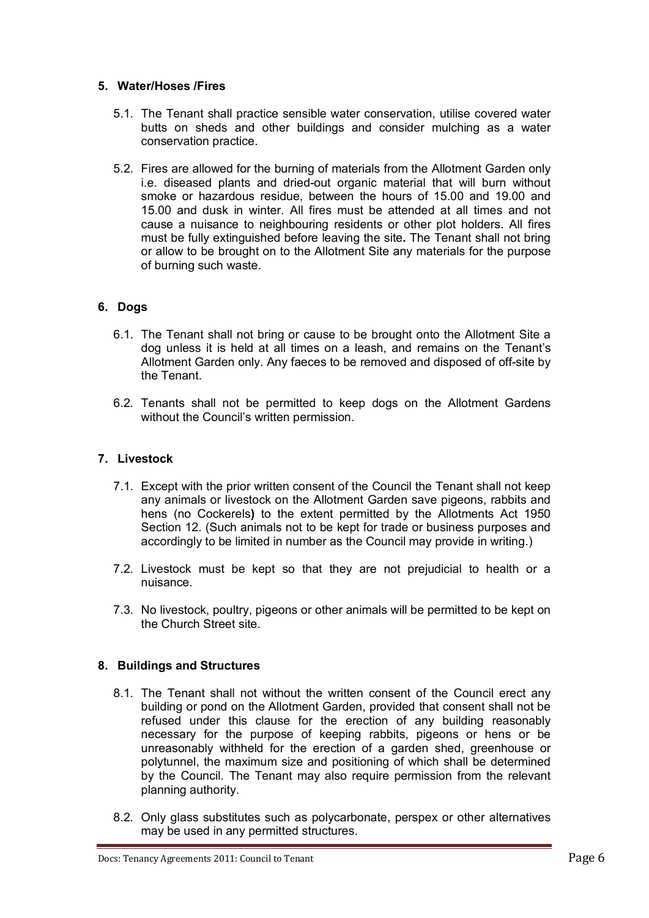### **5. Water/Hoses /Fires**

- 5.1. The Tenant shall practice sensible water conservation, utilise covered water butts on sheds and other buildings and consider mulching as a water conservation practice.
- 5.2. Fires are allowed for the burning of materials from the Allotment Garden only i.e. diseased plants and dried-out organic material that will burn without smoke or hazardous residue, between the hours of 15.00 and 19.00 and 15.00 and dusk in winter. All fires must be attended at all times and not cause a nuisance to neighbouring residents or other plot holders. All fires must be fully extinguished before leaving the site**.** The Tenant shall not bring or allow to be brought on to the Allotment Site any materials for the purpose of burning such waste.

# **6. Dogs**

- 6.1. The Tenant shall not bring or cause to be brought onto the Allotment Site a dog unless it is held at all times on a leash, and remains on the Tenant's Allotment Garden only. Any faeces to be removed and disposed of off-site by the Tenant.
- 6.2. Tenants shall not be permitted to keep dogs on the Allotment Gardens without the Council's written permission.

# **7. Livestock**

- 7.1. Except with the prior written consent of the Council the Tenant shall not keep any animals or livestock on the Allotment Garden save pigeons, rabbits and hens (no Cockerels**)** to the extent permitted by the Allotments Act 1950 Section 12. (Such animals not to be kept for trade or business purposes and accordingly to be limited in number as the Council may provide in writing.)
- 7.2. Livestock must be kept so that they are not prejudicial to health or a nuisance.
- 7.3. No livestock, poultry, pigeons or other animals will be permitted to be kept on the Church Street site.

## **8. Buildings and Structures**

- 8.1. The Tenant shall not without the written consent of the Council erect any building or pond on the Allotment Garden, provided that consent shall not be refused under this clause for the erection of any building reasonably necessary for the purpose of keeping rabbits, pigeons or hens or be unreasonably withheld for the erection of a garden shed, greenhouse or polytunnel, the maximum size and positioning of which shall be determined by the Council. The Tenant may also require permission from the relevant planning authority.
- 8.2. Only glass substitutes such as polycarbonate, perspex or other alternatives may be used in any permitted structures.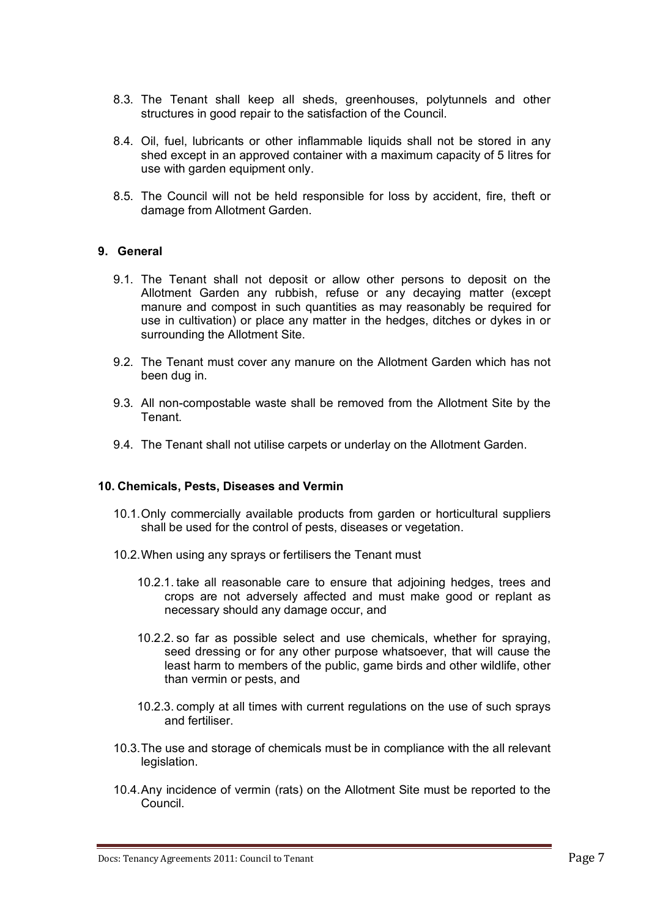- 8.3. The Tenant shall keep all sheds, greenhouses, polytunnels and other structures in good repair to the satisfaction of the Council.
- 8.4. Oil, fuel, lubricants or other inflammable liquids shall not be stored in any shed except in an approved container with a maximum capacity of 5 litres for use with garden equipment only.
- 8.5. The Council will not be held responsible for loss by accident, fire, theft or damage from Allotment Garden.

### **9. General**

- 9.1. The Tenant shall not deposit or allow other persons to deposit on the Allotment Garden any rubbish, refuse or any decaying matter (except manure and compost in such quantities as may reasonably be required for use in cultivation) or place any matter in the hedges, ditches or dykes in or surrounding the Allotment Site.
- 9.2. The Tenant must cover any manure on the Allotment Garden which has not been dug in.
- 9.3. All non-compostable waste shall be removed from the Allotment Site by the Tenant.
- 9.4. The Tenant shall not utilise carpets or underlay on the Allotment Garden.

#### **10. Chemicals, Pests, Diseases and Vermin**

- 10.1.Only commercially available products from garden or horticultural suppliers shall be used for the control of pests, diseases or vegetation.
- 10.2.When using any sprays or fertilisers the Tenant must
	- 10.2.1. take all reasonable care to ensure that adjoining hedges, trees and crops are not adversely affected and must make good or replant as necessary should any damage occur, and
	- 10.2.2. so far as possible select and use chemicals, whether for spraying, seed dressing or for any other purpose whatsoever, that will cause the least harm to members of the public, game birds and other wildlife, other than vermin or pests, and
	- 10.2.3. comply at all times with current regulations on the use of such sprays and fertiliser.
- 10.3.The use and storage of chemicals must be in compliance with the all relevant legislation.
- 10.4.Any incidence of vermin (rats) on the Allotment Site must be reported to the Council.